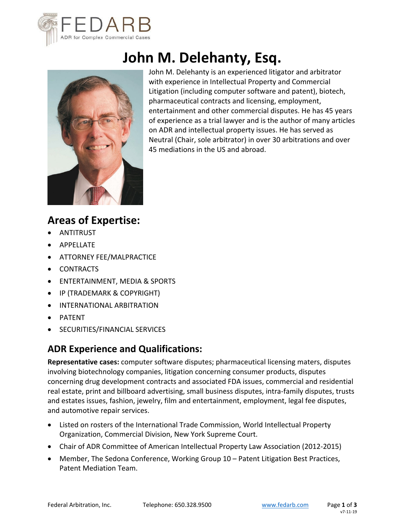

# **John M. Delehanty, Esq.**



John M. Delehanty is an experienced litigator and arbitrator with experience in Intellectual Property and Commercial Litigation (including computer software and patent), biotech, pharmaceutical contracts and licensing, employment, entertainment and other commercial disputes. He has 45 years of experience as a trial lawyer and is the author of many articles on ADR and intellectual property issues. He has served as Neutral (Chair, sole arbitrator) in over 30 arbitrations and over 45 mediations in the US and abroad.

## **Areas of Expertise:**

- ANTITRUST
- APPELLATE
- **ATTORNEY FEE/MALPRACTICE**
- CONTRACTS
- ENTERTAINMENT, MEDIA & SPORTS
- IP (TRADEMARK & COPYRIGHT)
- INTERNATIONAL ARBITRATION
- PATENT
- SECURITIES/FINANCIAL SERVICES

## **ADR Experience and Qualifications:**

**Representative cases:** computer software disputes; pharmaceutical licensing maters, disputes involving biotechnology companies, litigation concerning consumer products, disputes concerning drug development contracts and associated FDA issues, commercial and residential real estate, print and billboard advertising, small business disputes, intra-family disputes, trusts and estates issues, fashion, jewelry, film and entertainment, employment, legal fee disputes, and automotive repair services.

- Listed on rosters of the International Trade Commission, World Intellectual Property Organization, Commercial Division, New York Supreme Court.
- Chair of ADR Committee of American Intellectual Property Law Association (2012‐2015)
- Member, The Sedona Conference, Working Group 10 Patent Litigation Best Practices, Patent Mediation Team.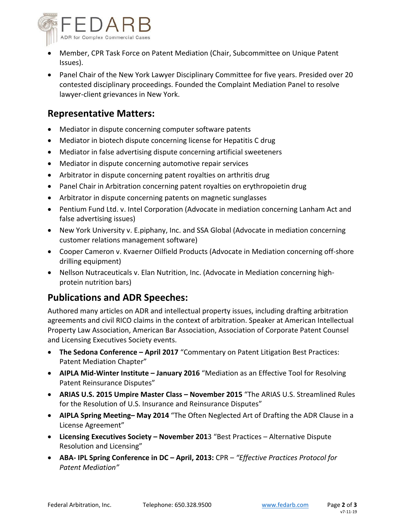

- Member, CPR Task Force on Patent Mediation (Chair, Subcommittee on Unique Patent Issues).
- Panel Chair of the New York Lawyer Disciplinary Committee for five years. Presided over 20 contested disciplinary proceedings. Founded the Complaint Mediation Panel to resolve lawyer‐client grievances in New York.

#### **Representative Matters:**

- Mediator in dispute concerning computer software patents
- Mediator in biotech dispute concerning license for Hepatitis C drug
- Mediator in false advertising dispute concerning artificial sweeteners
- Mediator in dispute concerning automotive repair services
- Arbitrator in dispute concerning patent royalties on arthritis drug
- Panel Chair in Arbitration concerning patent royalties on erythropoietin drug
- Arbitrator in dispute concerning patents on magnetic sunglasses
- Pentium Fund Ltd. v. Intel Corporation (Advocate in mediation concerning Lanham Act and false advertising issues)
- New York University v. E.piphany, Inc. and SSA Global (Advocate in mediation concerning customer relations management software)
- Cooper Cameron v. Kvaerner Oilfield Products (Advocate in Mediation concerning off‐shore drilling equipment)
- Nellson Nutraceuticals v. Elan Nutrition, Inc. (Advocate in Mediation concerning highprotein nutrition bars)

#### **Publications and ADR Speeches:**

Authored many articles on ADR and intellectual property issues, including drafting arbitration agreements and civil RICO claims in the context of arbitration. Speaker at American Intellectual Property Law Association, American Bar Association, Association of Corporate Patent Counsel and Licensing Executives Society events.

- **The Sedona Conference April 2017** "Commentary on Patent Litigation Best Practices: Patent Mediation Chapter"
- **AIPLA Mid‐Winter Institute January 2016** "Mediation as an Effective Tool for Resolving Patent Reinsurance Disputes"
- **ARIAS U.S. 2015 Umpire Master Class November 2015** "The ARIAS U.S. Streamlined Rules for the Resolution of U.S. Insurance and Reinsurance Disputes"
- **AIPLA Spring Meeting– May 2014** "The Often Neglected Art of Drafting the ADR Clause in a License Agreement"
- **Licensing Executives Society November 201**3 "Best Practices Alternative Dispute Resolution and Licensing"
- **ABA‐ IPL Spring Conference in DC April, 2013:** CPR *"Effective Practices Protocol for Patent Mediation"*